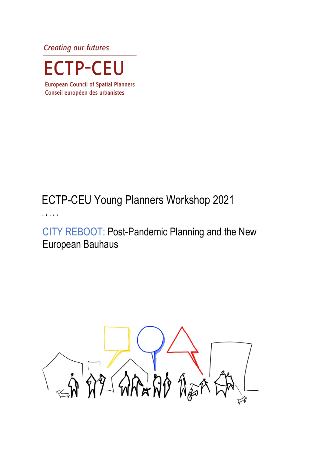**Creating our futures** 



**European Council of Spatial Planners** Conseil européen des urbanistes

# ECTP-CEU Young Planners Workshop 2021

\* \* \* \* \*

CITY REBOOT: Post-Pandemic Planning and the New European Bauhaus

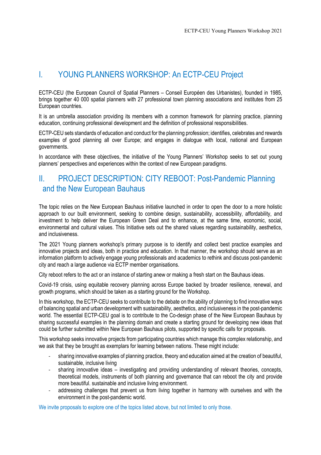## I. YOUNG PLANNERS WORKSHOP: An ECTP-CEU Project

ECTP-CEU (the European Council of Spatial Planners – Conseil Européen des Urbanistes), founded in 1985, brings together 40 000 spatial planners with 27 professional town planning associations and institutes from 25 European countries.

It is an umbrella association providing its members with a common framework for planning practice, planning education, continuing professional development and the definition of professional responsibilities.

ECTP-CEU sets standards of education and conduct for the planning profession; identifies, celebrates and rewards examples of good planning all over Europe; and engages in dialogue with local, national and European governments.

In accordance with these objectives, the initiative of the Young Planners' Workshop seeks to set out young planners' perspectives and experiences within the context of new European paradigms.

# II. PROJECT DESCRIPTION: CITY REBOOT: Post-Pandemic Planning and the New European Bauhaus

The topic relies on the New European Bauhaus initiative launched in order to open the door to a more holistic approach to our built environment, seeking to combine design, sustainability, accessibility, affordability, and investment to help deliver the European Green Deal and to enhance, at the same time, economic, social, environmental and cultural values. This Initiative sets out the shared values regarding sustainability, aesthetics, and inclusiveness.

The 2021 Young planners workshop's primary purpose is to identify and collect best practice examples and innovative projects and ideas, both in practice and education. In that manner, the workshop should serve as an information platform to actively engage young professionals and academics to rethink and discuss post-pandemic city and reach a large audience via ECTP member organisations.

City reboot refers to the act or an instance of starting anew or making a fresh start on the Bauhaus ideas.

Covid-19 crisis, using equitable recovery planning across Europe backed by broader resilience, renewal, and growth programs, which should be taken as a starting ground for the Workshop.

In this workshop, the ECTP-CEU seeks to contribute to the debate on the ability of planning to find innovative ways of balancing spatial and urban development with sustainability, aesthetics, and inclusiveness in the post-pandemic world. The essential ECTP-CEU goal is to contribute to the Co-design phase of the New European Bauhaus by sharing successful examples in the planning domain and create a starting ground for developing new ideas that could be further submitted within New European Bauhaus pilots, supported by specific calls for proposals.

This workshop seeks innovative projects from participating countries which manage this complex relationship, and we ask that they be brought as exemplars for learning between nations. These might include:

- sharing innovative examples of planning practice, theory and education aimed at the creation of beautiful, sustainable, inclusive living
- sharing innovative ideas investigating and providing understanding of relevant theories, concepts, theoretical models, instruments of both planning and governance that can reboot the city and provide more beautiful. sustainable and inclusive living environment.
- addressing challenges that prevent us from living together in harmony with ourselves and with the environment in the post-pandemic world.

We invite proposals to explore one of the topics listed above, but not limited to only those.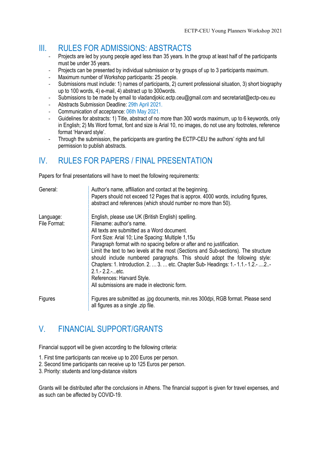# III. RULES FOR ADMISSIONS: ABSTRACTS

- Projects are led by young people aged less than 35 years. In the group at least half of the participants must be under 35 years.
- Projects can be presented by individual submission or by groups of up to 3 participants maximum.
- Maximum number of Workshop participants: 25 people.
- Submissions must include: 1) names of participants, 2) current professional situation, 3) short biography up to 100 words, 4) e-mail, 4) abstract up to 300words.
- Submissions to be made by email to vladandjokic.ectp.ceu@gmail.com and secretariat@ectp-ceu.eu
- Abstracts Submission Deadline: 29th April 2021.
- Communication of acceptance: 06th May 2021.
- Guidelines for abstracts: 1) Title, abstract of no more than 300 words maximum, up to 6 keywords, only in English; 2) Ms Word format, font and size is Arial 10, no images, do not use any footnotes, reference format 'Harvard style'.
- Through the submission, the participants are granting the ECTP-CEU the authors' rights and full permission to publish abstracts.

# IV. RULES FOR PAPERS / FINAL PRESENTATION

Papers for final presentations will have to meet the following requirements:

| General:                  | Author's name, affiliation and contact at the beginning.<br>Papers should not exceed 12 Pages that is approx. 4000 words, including figures,<br>abstract and references (which should number no more than 50).                                                                                                                                                                                                                                                                                                                                                                                                          |
|---------------------------|-------------------------------------------------------------------------------------------------------------------------------------------------------------------------------------------------------------------------------------------------------------------------------------------------------------------------------------------------------------------------------------------------------------------------------------------------------------------------------------------------------------------------------------------------------------------------------------------------------------------------|
| Language:<br>File Format: | English, please use UK (British English) spelling.<br>Filename: author's name.<br>All texts are submitted as a Word document.<br>Font Size: Arial 10; Line Spacing: Multiple 1,15u<br>Paragraph format with no spacing before or after and no justification.<br>Limit the text to two levels at the most (Sections and Sub-sections). The structure<br>should include numbered paragraphs. This should adopt the following style:<br>Chapters: 1. Introduction. 2.  3.  etc. Chapter Sub-Headings: 1.-1.1.-1.2.- 2-<br>$2.1 - 2.2 - etc.$<br>References: Harvard Style.<br>All submissions are made in electronic form. |
| Figures                   | Figures are submitted as .jpg documents, min.res 300dpi, RGB format. Please send<br>all figures as a single .zip file.                                                                                                                                                                                                                                                                                                                                                                                                                                                                                                  |

# V. FINANCIAL SUPPORT/GRANTS

Financial support will be given according to the following criteria:

- 1. First time participants can receive up to 200 Euros per person.
- 2. Second time participants can receive up to 125 Euros per person.
- 3. Priority: students and long-distance visitors

Grants will be distributed after the conclusions in Athens. The financial support is given for travel expenses, and as such can be affected by COVID-19.